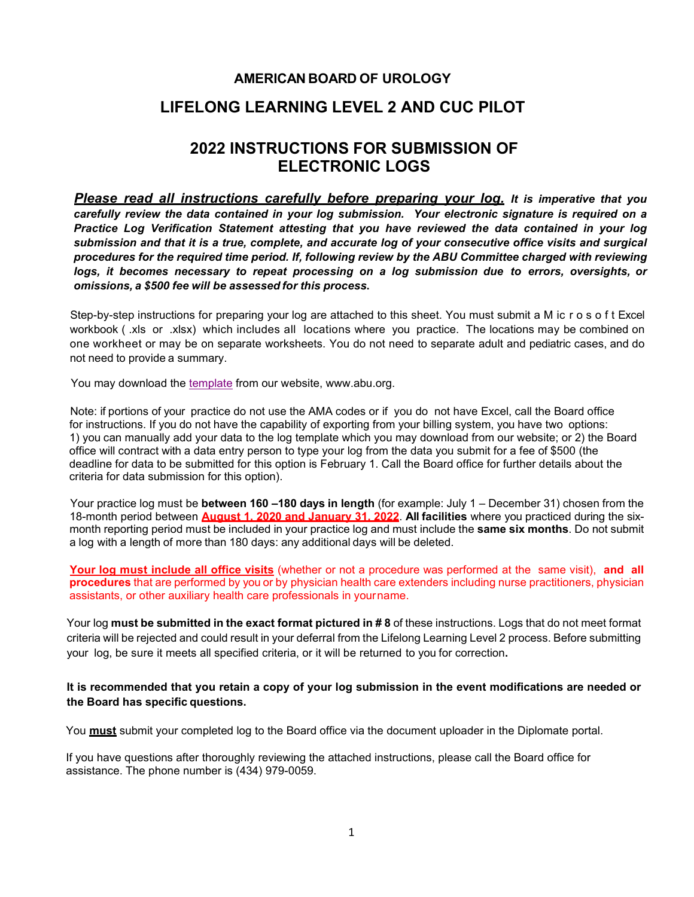## **AMERICAN BOARD OF UROLOGY**

## **LIFELONG LEARNING LEVEL 2 AND CUC PILOT**

# **2022 INSTRUCTIONS FOR SUBMISSION OF ELECTRONIC LOGS**

*Please read all instructions carefully before preparing your log. It is imperative that you carefully review the data contained in your log submission. Your electronic signature is required on a Practice Log Verification Statement attesting that you have reviewed the data contained in your log submission and that it is a true, complete, and accurate log of your consecutive office visits and surgical procedures for the required time period. If, following review by the ABU Committee charged with reviewing logs, it becomes necessary to repeat processing on a log submission due to errors, oversights, or omissions, a \$500 fee will be assessed for this process***.** 

Step-by-step instructions for preparing your log are attached to this sheet. You must submit a M ic r o s o f t Excel workbook ( .xls or .xlsx) which includes all locations where you practice. The locations may be combined on one workheet or may be on separate worksheets. You do not need to separate adult and pediatric cases, and do not need to provide a summary.

You may download [the template](https://www.abu.org/images/logs/2022L2CUCPracticeLogTemplate.xls) from our website, [www.abu.org.](http://www.abu.org/)

Note: if portions of your practice do not use the AMA codes or if you do not have Excel, call the Board office for instructions. If you do not have the capability of exporting from your billing system, you have two options: 1) you can manually add your data to the log template which you may download from our website; or 2) the Board office will contract with a data entry person to type your log from the data you submit for a fee of \$500 (the deadline for data to be submitted for this option is February 1. Call the Board office for further details about the criteria for data submission for this option).

Your practice log must be **between 160 –180 days in length** (for example: July 1 – December 31) chosen from the 18-month period between **August 1, 2020 and January 31, 2022**. **All facilities** where you practiced during the sixmonth reporting period must be included in your practice log and must include the **same six months**. Do not submit a log with a length of more than 180 days: any additional days will be deleted.

**Your log must include all office visits** (whether or not a procedure was performed at the same visit), **and all procedures** that are performed by you or by physician health care extenders including nurse practitioners, physician assistants, or other auxiliary health care professionals in yourname.

Your log **must be submitted in the exact format pictured in # 8** of these instructions. Logs that do not meet format criteria will be rejected and could result in your deferral from the Lifelong Learning Level 2 process. Before submitting your log, be sure it meets all specified criteria, or it will be returned to you for correction**.** 

#### **It is recommended that you retain a copy of your log submission in the event modifications are needed or the Board has specific questions.**

You **must** submit your completed log to the Board office via the document uploader in the Diplomate portal.

If you have questions after thoroughly reviewing the attached instructions, please call the Board office for assistance. The phone number is (434) 979-0059.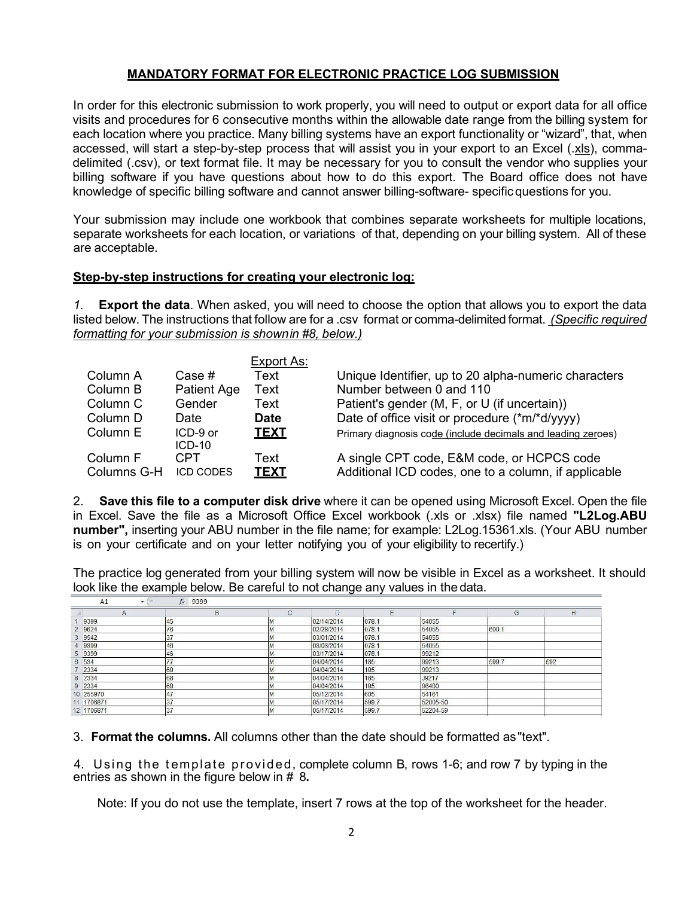## **MANDATORY FORMAT FOR ELECTRONIC PRACTICE LOG SUBMISSION**

In order for this electronic submission to work properly, you will need to output or export data for all office visits and procedures for 6 consecutive months within the allowable date range from the billing system for each location where you practice. Many billing systems have an export functionality or "wizard", that, when accessed, will start a step-by-step process that will assist you in your export to an Excel (.xls), commadelimited (.csv), or text format file. It may be necessary for you to consult the vendor who supplies your billing software if you have questions about how to do this export. The Board office does not have knowledge of specific billing software and cannot answer billing-software- specificquestions for you.

Your submission may include one workbook that combines separate worksheets for multiple locations, separate worksheets for each location, or variations of that, depending on your billing system. All of these are acceptable.

## **Step-by-step instructions for creating your electronic log:**

*1.* **Export the data**. When asked, you will need to choose the option that allows you to export the data listed below. The instructions that follow are for a .csv format or comma-delimited format. *(Specific required formatting for your submission is shownin #8, below.)*

|             |                      | Export As:  |                                                              |
|-------------|----------------------|-------------|--------------------------------------------------------------|
| Column A    | Case #               | Text        | Unique Identifier, up to 20 alpha-numeric characters         |
| Column B    | Patient Age          | Text        | Number between 0 and 110                                     |
| Column C    | Gender               | Text        | Patient's gender (M, F, or U (if uncertain))                 |
| Column D    | Date                 | <b>Date</b> | Date of office visit or procedure (*m/*d/yyyy)               |
| Column E    | ICD-9 or<br>$ICD-10$ | <b>TEXT</b> | Primary diagnosis code (include decimals and leading zeroes) |
| Column F    | CPT                  | Text        | A single CPT code, E&M code, or HCPCS code                   |
| Columns G-H | <b>ICD CODES</b>     | <b>TEXT</b> | Additional ICD codes, one to a column, if applicable         |

2. **Save this file to a computer disk drive** where it can be opened using Microsoft Excel. Open the file in Excel. Save the file as a Microsoft Office Excel workbook (.xls or .xlsx) file named **"L2Log.ABU number",** inserting your ABU number in the file name; for example: L2Log.15361.xls. (Your ABU number is on your certificate and on your letter notifying you of your eligibility to recertify.)

The practice log generated from your billing system will now be visible in Excel as a worksheet. It should look like the example below. Be careful to not change any values in the data.

| A1<br>$\overline{\phantom{a}}$ | $f_x$<br>9399 |             |            |       |          |       |          |
|--------------------------------|---------------|-------------|------------|-------|----------|-------|----------|
| A                              | B             | $\sim$<br>◡ | $\Box$     | F     | E        | G     | $\vdash$ |
| 9399                           | 45            | ΙM          | 02/14/2014 | 078.1 | 54055    |       |          |
| 2 9624                         | 76            | ΙM          | 02/28/2014 | 078.1 | 54055    | 600.1 |          |
| 3 9542                         | 37            | M           | 03/01/2014 | 078.1 | 54055    |       |          |
| 4 9399                         | 46            | M           | 03/03/2014 | 078.1 | 54055    |       |          |
| 5 9399                         | 46            |             | 03/17/2014 | 078.1 | 99212    |       |          |
| 6 534                          |               | M           | 04/04/2014 | 185   | 99213    | 599.7 | 592      |
| 2334                           | 68            | ΙM          | 04/04/2014 | 185   | 99213    |       |          |
| 8 2334                         | 68            | M           | 04/04/2014 | 185   | J9217    |       |          |
| 9 2334                         | 68            | ΙM          | 04/04/2014 | 185   | 96400    |       |          |
| 10 255970                      | 47            | M           | 05/12/2014 | 605   | 54161    |       |          |
| 11 1706871                     | 37            | M           | 05/17/2014 | 599.7 | 52005-50 |       |          |
| 12 1706871                     | 37            | M           | 05/17/2014 | 599.7 | 52204-59 |       |          |

3. **Format the columns.** All columns other than the date should be formatted as"text".

4. Using the template provided, complete column B, rows 1-6; and row 7 by typing in the entries as shown in the figure below in # 8**.**

Note: If you do not use the template, insert 7 rows at the top of the worksheet for the header.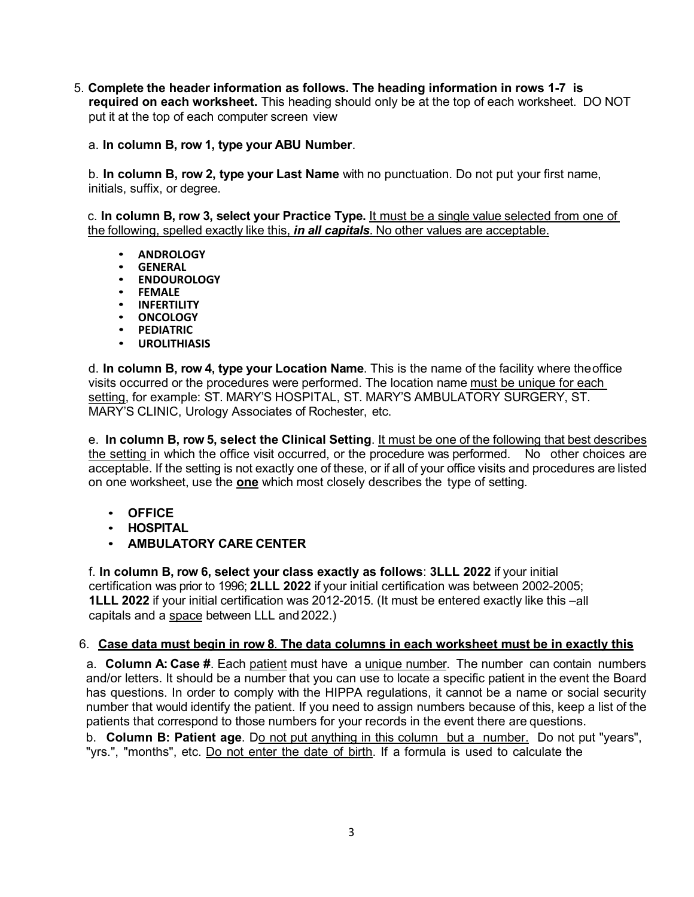5. **Complete the header information as follows. The heading information in rows 1-7 is required on each worksheet.** This heading should only be at the top of each worksheet. DO NOT put it at the top of each computer screen view

## a. **In column B, row 1, type your ABU Number**.

b. **In column B, row 2, type your Last Name** with no punctuation. Do not put your first name, initials, suffix, or degree.

c. **In column B, row 3, select your Practice Type.** It must be a single value selected from one of the following, spelled exactly like this, *in all capitals*. No other values are acceptable.

- **ANDROLOGY**
- 
- **GENERAL ENDOUROLOGY**
- **FEMALE**
- 
- **INFERTILITY ONCOLOGY**
- **PEDIATRIC**
- **UROLITHIASIS**

d. **In column B, row 4, type your Location Name**. This is the name of the facility where theoffice visits occurred or the procedures were performed. The location name must be unique for each setting, for example: ST. MARY'S HOSPITAL, ST. MARY'S AMBULATORY SURGERY, ST. MARY'S CLINIC, Urology Associates of Rochester, etc.

e. **In column B, row 5, select the Clinical Setting**. It must be one of the following that best describes the setting in which the office visit occurred, or the procedure was performed. No other choices are acceptable. If the setting is not exactly one of these, or if all of your office visits and procedures are listed on one worksheet, use the **one** which most closely describes the type of setting.

- **OFFICE**
- **HOSPITAL**
- **AMBULATORY CARE CENTER**

f. **In column B, row 6, select your class exactly as follows**: **3LLL 2022** if your initial certification was prior to 1996; **2LLL 2022** if your initial certification was between 2002-2005; **1LLL 2022** if your initial certification was 2012-2015. (It must be entered exactly like this –all capitals and a space between LLL and 2022.)

## 6. **Case data must begin in row 8**. **The data columns in each worksheet must be in exactly this**

a. **Column A: Case #**. Each patient must have a unique number. The number can contain numbers and/or letters. It should be a number that you can use to locate a specific patient in the event the Board has questions. In order to comply with the HIPPA regulations, it cannot be a name or social security number that would identify the patient. If you need to assign numbers because of this, keep a list of the patients that correspond to those numbers for your records in the event there are questions.

b. **Column B: Patient age**. Do not put anything in this column but a number. Do not put "years", "yrs.", "months", etc. Do not enter the date of birth. If a formula is used to calculate the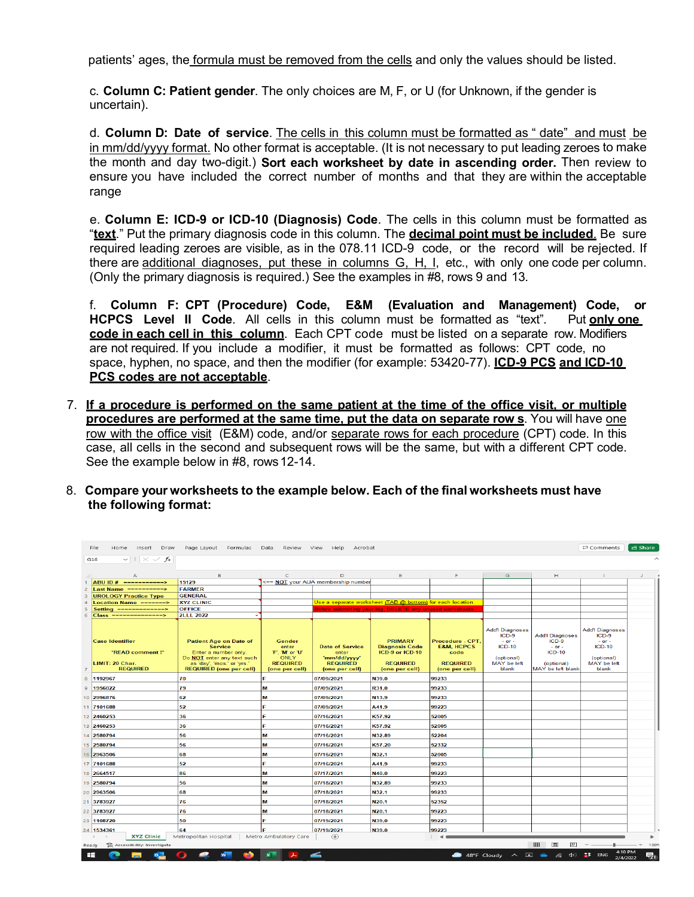patients' ages, the formula must be removed from the cells and only the values should be listed.

c. **Column C: Patient gender**. The only choices are M, F, or U (for Unknown, if the gender is uncertain).

d. **Column D: Date of service**. The cells in this column must be formatted as " date" and must be in mm/dd/yyyy format. No other format is acceptable. (It is not necessary to put leading zeroes to make the month and day two-digit.) **Sort each worksheet by date in ascending order.** Then review to ensure you have included the correct number of months and that they are within the acceptable range

e. **Column E: ICD-9 or ICD-10 (Diagnosis) Code**. The cells in this column must be formatted as "**text**." Put the primary diagnosis code in this column. The **decimal point must be included**. Be sure required leading zeroes are visible, as in the 078.11 ICD-9 code, or the record will be rejected. If there are additional diagnoses, put these in columns G, H, I, etc., with only one code per column. (Only the primary diagnosis is required.) See the examples in #8, rows 9 and 13.

f. **Column F: CPT (Procedure) Code, E&M (Evaluation and Management) Code, or HCPCS Level II Code**. All cells in this column must be formatted as "text". Put **only one code in each cell in this column**. Each CPT code must be listed on a separate row. Modifiers are not required. If you include a modifier, it must be formatted as follows: CPT code, no space, hyphen, no space, and then the modifier (for example: 53420-77). **ICD-9 PCS and ICD-10 PCS codes are not acceptable**.

- 7. **If a procedure is performed on the same patient at the time of the office visit, or multiple procedures are performed at the same time, put the data on separate row s**. You will have one row with the office visit (E&M) code, and/or separate rows for each procedure (CPT) code. In this case, all cells in the second and subsequent rows will be the same, but with a different CPT code. See the example below in #8, rows12-14.
- 8. **Compare your worksheets to the example below. Each of the final worksheets must have the following format:**

| $\vee$ : $\times \vee f$ x<br>G16<br>B<br>Е<br>G<br>H.<br>$\mathsf{C}$<br>D<br>F<br>$\mathbf{I}$<br>А<br><== NOT your AUA membership number<br>ABU ID # ------------><br>15129<br><b>FARMER</b><br>Last Name ----------><br>$\overline{z}$<br><b>GENERAL</b><br><b>UROLOGY Practice Type</b><br>3<br>Use a separate worksheet (TAB @ bottom) for each location.<br><b>XYZ CLINIC</b><br><b>Location Name =======&gt;</b><br>$\boldsymbol{\Delta}$<br>Before submitting your log. DELETE any unused worksheets.<br><b>OFFICE</b><br>Setting $-----$<br>5<br><b>2LLL 2022</b><br>Class ===============><br>6<br><b>Add'l Diagnoses</b><br><b>Add'I Diagnoses</b><br>$ICD-9$<br><b>Add'l Diagnoses</b><br>$ICD-9$<br><b>PRIMARY</b><br>$ICD-9$<br><b>Case Identifier</b><br><b>Patient Age on Date of</b><br>Gender<br>Procedure - CPT.<br>$-$ or $-$<br>$-$ or $-$<br>$ICD-10$<br>$ICD-10$<br><b>Service</b><br><b>Date of Service</b><br><b>Diagnosis Code</b><br><b>E&amp;M, HCPCS</b><br>$-$ or $-$<br>enter<br>'F'. 'M' or 'U'<br>ICD-9 or ICD-10<br>$ICD-10$<br>*READ comment!*<br>Enter a number only.<br>enter<br>code<br>Do NOT enter any text such<br><b>ONLY</b><br>'mm/dd/yyyy'<br>(optional)<br>(optional)<br><b>REQUIRED</b><br>as 'day', 'mos.' or 'yrs.'<br><b>REQUIRED</b><br><b>REQUIRED</b><br>MAY be left<br>LIMIT: 20 Char.<br><b>REQUIRED</b><br>MAY be left<br>(optional)<br><b>REQUIRED</b><br><b>REQUIRED (one per cell)</b><br>MAY be left blank<br>blank<br>(one per cell)<br>(one per cell)<br>(one per cell)<br>(one per cell)<br>blank<br>$\overline{7}$<br>1192967<br>70<br>F<br>07/09/2021<br>N39.0<br>99233<br>8<br>79<br>07/09/2021<br>R31.0<br>99233<br>1956022<br><b>M</b><br>62<br>07/09/2021<br>N13.9<br>99233<br>M<br>52<br>07/09/2021<br>A41.9<br>99223<br>36<br>07/16/2021<br>K57.92<br>52005<br>07/16/2021<br>K57.92<br>52005<br>36<br>Е<br>N32.89<br>56<br>07/16/2021<br>52204<br>M<br>56<br>lм<br>07/16/2021<br>K57.20<br>52332<br>68<br>07/16/2021<br>N32.1<br>M<br>52005<br>F<br>52<br>07/16/2021<br>99233<br>A41.9<br>86<br>07/17/2021<br>N40.0<br>99223<br>lм<br>07/18/2021<br>N32.89<br>99233<br>56<br>lм<br>68<br>M<br>07/18/2021<br>N32.1<br>99233<br>76<br>M<br>07/18/2021<br>N <sub>20.1</sub><br>52352<br>76<br>07/18/2021<br>N <sub>20.1</sub><br>99223<br>lм<br>07/19/2021<br>99223<br>50<br>N39.0<br>F<br>64<br>F<br>07/19/2021<br>N39.0<br>99223<br><b>XYZ Clinic</b><br>Metropolitan Hospital<br>Metro Ambulatory Care<br>$\bigoplus$<br>$\blacktriangleleft$<br>囲<br>& Accessibility: Investigate<br>回<br>4:10 PM<br>⋍<br>FF.<br>48°F Cloudy<br>国会<br>$\frac{2}{4}$ ENG<br>$\widehat{\phantom{m}}$<br>$\Phi$<br>a.<br>2/4/2022 | □ Comments<br>Page Layout Formulas<br>Data<br>Help<br>Acrobat<br>File<br>Home<br>Insert<br>Draw<br>Review<br>View |  |  |  |  |  |  |  |  | <u>ිපි</u> Share |  |
|-----------------------------------------------------------------------------------------------------------------------------------------------------------------------------------------------------------------------------------------------------------------------------------------------------------------------------------------------------------------------------------------------------------------------------------------------------------------------------------------------------------------------------------------------------------------------------------------------------------------------------------------------------------------------------------------------------------------------------------------------------------------------------------------------------------------------------------------------------------------------------------------------------------------------------------------------------------------------------------------------------------------------------------------------------------------------------------------------------------------------------------------------------------------------------------------------------------------------------------------------------------------------------------------------------------------------------------------------------------------------------------------------------------------------------------------------------------------------------------------------------------------------------------------------------------------------------------------------------------------------------------------------------------------------------------------------------------------------------------------------------------------------------------------------------------------------------------------------------------------------------------------------------------------------------------------------------------------------------------------------------------------------------------------------------------------------------------------------------------------------------------------------------------------------------------------------------------------------------------------------------------------------------------------------------------------------------------------------------------------------------------------------------------------------------------------------------------------------------------------------------------------------------------------------------------------------------------------------------------------------------------------------------------------------------------------|-------------------------------------------------------------------------------------------------------------------|--|--|--|--|--|--|--|--|------------------|--|
|                                                                                                                                                                                                                                                                                                                                                                                                                                                                                                                                                                                                                                                                                                                                                                                                                                                                                                                                                                                                                                                                                                                                                                                                                                                                                                                                                                                                                                                                                                                                                                                                                                                                                                                                                                                                                                                                                                                                                                                                                                                                                                                                                                                                                                                                                                                                                                                                                                                                                                                                                                                                                                                                                         |                                                                                                                   |  |  |  |  |  |  |  |  |                  |  |
|                                                                                                                                                                                                                                                                                                                                                                                                                                                                                                                                                                                                                                                                                                                                                                                                                                                                                                                                                                                                                                                                                                                                                                                                                                                                                                                                                                                                                                                                                                                                                                                                                                                                                                                                                                                                                                                                                                                                                                                                                                                                                                                                                                                                                                                                                                                                                                                                                                                                                                                                                                                                                                                                                         |                                                                                                                   |  |  |  |  |  |  |  |  |                  |  |
|                                                                                                                                                                                                                                                                                                                                                                                                                                                                                                                                                                                                                                                                                                                                                                                                                                                                                                                                                                                                                                                                                                                                                                                                                                                                                                                                                                                                                                                                                                                                                                                                                                                                                                                                                                                                                                                                                                                                                                                                                                                                                                                                                                                                                                                                                                                                                                                                                                                                                                                                                                                                                                                                                         |                                                                                                                   |  |  |  |  |  |  |  |  |                  |  |
|                                                                                                                                                                                                                                                                                                                                                                                                                                                                                                                                                                                                                                                                                                                                                                                                                                                                                                                                                                                                                                                                                                                                                                                                                                                                                                                                                                                                                                                                                                                                                                                                                                                                                                                                                                                                                                                                                                                                                                                                                                                                                                                                                                                                                                                                                                                                                                                                                                                                                                                                                                                                                                                                                         |                                                                                                                   |  |  |  |  |  |  |  |  |                  |  |
|                                                                                                                                                                                                                                                                                                                                                                                                                                                                                                                                                                                                                                                                                                                                                                                                                                                                                                                                                                                                                                                                                                                                                                                                                                                                                                                                                                                                                                                                                                                                                                                                                                                                                                                                                                                                                                                                                                                                                                                                                                                                                                                                                                                                                                                                                                                                                                                                                                                                                                                                                                                                                                                                                         |                                                                                                                   |  |  |  |  |  |  |  |  |                  |  |
|                                                                                                                                                                                                                                                                                                                                                                                                                                                                                                                                                                                                                                                                                                                                                                                                                                                                                                                                                                                                                                                                                                                                                                                                                                                                                                                                                                                                                                                                                                                                                                                                                                                                                                                                                                                                                                                                                                                                                                                                                                                                                                                                                                                                                                                                                                                                                                                                                                                                                                                                                                                                                                                                                         |                                                                                                                   |  |  |  |  |  |  |  |  |                  |  |
|                                                                                                                                                                                                                                                                                                                                                                                                                                                                                                                                                                                                                                                                                                                                                                                                                                                                                                                                                                                                                                                                                                                                                                                                                                                                                                                                                                                                                                                                                                                                                                                                                                                                                                                                                                                                                                                                                                                                                                                                                                                                                                                                                                                                                                                                                                                                                                                                                                                                                                                                                                                                                                                                                         |                                                                                                                   |  |  |  |  |  |  |  |  |                  |  |
|                                                                                                                                                                                                                                                                                                                                                                                                                                                                                                                                                                                                                                                                                                                                                                                                                                                                                                                                                                                                                                                                                                                                                                                                                                                                                                                                                                                                                                                                                                                                                                                                                                                                                                                                                                                                                                                                                                                                                                                                                                                                                                                                                                                                                                                                                                                                                                                                                                                                                                                                                                                                                                                                                         |                                                                                                                   |  |  |  |  |  |  |  |  |                  |  |
|                                                                                                                                                                                                                                                                                                                                                                                                                                                                                                                                                                                                                                                                                                                                                                                                                                                                                                                                                                                                                                                                                                                                                                                                                                                                                                                                                                                                                                                                                                                                                                                                                                                                                                                                                                                                                                                                                                                                                                                                                                                                                                                                                                                                                                                                                                                                                                                                                                                                                                                                                                                                                                                                                         |                                                                                                                   |  |  |  |  |  |  |  |  |                  |  |
| $\mathbf{9}$<br>10 2996876<br>11 7101688<br>12 2460253<br>13 2460253<br>14 2580794<br>15 2580794<br>16 2963506<br>17 7101688<br>18 2664517<br>19 2580794<br>20 2963506<br>21 3783927<br>22 3783927<br>23 1108720<br>24 1534361<br>Ready                                                                                                                                                                                                                                                                                                                                                                                                                                                                                                                                                                                                                                                                                                                                                                                                                                                                                                                                                                                                                                                                                                                                                                                                                                                                                                                                                                                                                                                                                                                                                                                                                                                                                                                                                                                                                                                                                                                                                                                                                                                                                                                                                                                                                                                                                                                                                                                                                                                 |                                                                                                                   |  |  |  |  |  |  |  |  |                  |  |
|                                                                                                                                                                                                                                                                                                                                                                                                                                                                                                                                                                                                                                                                                                                                                                                                                                                                                                                                                                                                                                                                                                                                                                                                                                                                                                                                                                                                                                                                                                                                                                                                                                                                                                                                                                                                                                                                                                                                                                                                                                                                                                                                                                                                                                                                                                                                                                                                                                                                                                                                                                                                                                                                                         |                                                                                                                   |  |  |  |  |  |  |  |  |                  |  |
|                                                                                                                                                                                                                                                                                                                                                                                                                                                                                                                                                                                                                                                                                                                                                                                                                                                                                                                                                                                                                                                                                                                                                                                                                                                                                                                                                                                                                                                                                                                                                                                                                                                                                                                                                                                                                                                                                                                                                                                                                                                                                                                                                                                                                                                                                                                                                                                                                                                                                                                                                                                                                                                                                         |                                                                                                                   |  |  |  |  |  |  |  |  |                  |  |
|                                                                                                                                                                                                                                                                                                                                                                                                                                                                                                                                                                                                                                                                                                                                                                                                                                                                                                                                                                                                                                                                                                                                                                                                                                                                                                                                                                                                                                                                                                                                                                                                                                                                                                                                                                                                                                                                                                                                                                                                                                                                                                                                                                                                                                                                                                                                                                                                                                                                                                                                                                                                                                                                                         |                                                                                                                   |  |  |  |  |  |  |  |  |                  |  |
|                                                                                                                                                                                                                                                                                                                                                                                                                                                                                                                                                                                                                                                                                                                                                                                                                                                                                                                                                                                                                                                                                                                                                                                                                                                                                                                                                                                                                                                                                                                                                                                                                                                                                                                                                                                                                                                                                                                                                                                                                                                                                                                                                                                                                                                                                                                                                                                                                                                                                                                                                                                                                                                                                         |                                                                                                                   |  |  |  |  |  |  |  |  |                  |  |
|                                                                                                                                                                                                                                                                                                                                                                                                                                                                                                                                                                                                                                                                                                                                                                                                                                                                                                                                                                                                                                                                                                                                                                                                                                                                                                                                                                                                                                                                                                                                                                                                                                                                                                                                                                                                                                                                                                                                                                                                                                                                                                                                                                                                                                                                                                                                                                                                                                                                                                                                                                                                                                                                                         |                                                                                                                   |  |  |  |  |  |  |  |  |                  |  |
|                                                                                                                                                                                                                                                                                                                                                                                                                                                                                                                                                                                                                                                                                                                                                                                                                                                                                                                                                                                                                                                                                                                                                                                                                                                                                                                                                                                                                                                                                                                                                                                                                                                                                                                                                                                                                                                                                                                                                                                                                                                                                                                                                                                                                                                                                                                                                                                                                                                                                                                                                                                                                                                                                         |                                                                                                                   |  |  |  |  |  |  |  |  |                  |  |
|                                                                                                                                                                                                                                                                                                                                                                                                                                                                                                                                                                                                                                                                                                                                                                                                                                                                                                                                                                                                                                                                                                                                                                                                                                                                                                                                                                                                                                                                                                                                                                                                                                                                                                                                                                                                                                                                                                                                                                                                                                                                                                                                                                                                                                                                                                                                                                                                                                                                                                                                                                                                                                                                                         |                                                                                                                   |  |  |  |  |  |  |  |  |                  |  |
|                                                                                                                                                                                                                                                                                                                                                                                                                                                                                                                                                                                                                                                                                                                                                                                                                                                                                                                                                                                                                                                                                                                                                                                                                                                                                                                                                                                                                                                                                                                                                                                                                                                                                                                                                                                                                                                                                                                                                                                                                                                                                                                                                                                                                                                                                                                                                                                                                                                                                                                                                                                                                                                                                         |                                                                                                                   |  |  |  |  |  |  |  |  |                  |  |
|                                                                                                                                                                                                                                                                                                                                                                                                                                                                                                                                                                                                                                                                                                                                                                                                                                                                                                                                                                                                                                                                                                                                                                                                                                                                                                                                                                                                                                                                                                                                                                                                                                                                                                                                                                                                                                                                                                                                                                                                                                                                                                                                                                                                                                                                                                                                                                                                                                                                                                                                                                                                                                                                                         |                                                                                                                   |  |  |  |  |  |  |  |  |                  |  |
|                                                                                                                                                                                                                                                                                                                                                                                                                                                                                                                                                                                                                                                                                                                                                                                                                                                                                                                                                                                                                                                                                                                                                                                                                                                                                                                                                                                                                                                                                                                                                                                                                                                                                                                                                                                                                                                                                                                                                                                                                                                                                                                                                                                                                                                                                                                                                                                                                                                                                                                                                                                                                                                                                         |                                                                                                                   |  |  |  |  |  |  |  |  |                  |  |
|                                                                                                                                                                                                                                                                                                                                                                                                                                                                                                                                                                                                                                                                                                                                                                                                                                                                                                                                                                                                                                                                                                                                                                                                                                                                                                                                                                                                                                                                                                                                                                                                                                                                                                                                                                                                                                                                                                                                                                                                                                                                                                                                                                                                                                                                                                                                                                                                                                                                                                                                                                                                                                                                                         |                                                                                                                   |  |  |  |  |  |  |  |  |                  |  |
|                                                                                                                                                                                                                                                                                                                                                                                                                                                                                                                                                                                                                                                                                                                                                                                                                                                                                                                                                                                                                                                                                                                                                                                                                                                                                                                                                                                                                                                                                                                                                                                                                                                                                                                                                                                                                                                                                                                                                                                                                                                                                                                                                                                                                                                                                                                                                                                                                                                                                                                                                                                                                                                                                         |                                                                                                                   |  |  |  |  |  |  |  |  |                  |  |
|                                                                                                                                                                                                                                                                                                                                                                                                                                                                                                                                                                                                                                                                                                                                                                                                                                                                                                                                                                                                                                                                                                                                                                                                                                                                                                                                                                                                                                                                                                                                                                                                                                                                                                                                                                                                                                                                                                                                                                                                                                                                                                                                                                                                                                                                                                                                                                                                                                                                                                                                                                                                                                                                                         |                                                                                                                   |  |  |  |  |  |  |  |  |                  |  |
|                                                                                                                                                                                                                                                                                                                                                                                                                                                                                                                                                                                                                                                                                                                                                                                                                                                                                                                                                                                                                                                                                                                                                                                                                                                                                                                                                                                                                                                                                                                                                                                                                                                                                                                                                                                                                                                                                                                                                                                                                                                                                                                                                                                                                                                                                                                                                                                                                                                                                                                                                                                                                                                                                         |                                                                                                                   |  |  |  |  |  |  |  |  |                  |  |
|                                                                                                                                                                                                                                                                                                                                                                                                                                                                                                                                                                                                                                                                                                                                                                                                                                                                                                                                                                                                                                                                                                                                                                                                                                                                                                                                                                                                                                                                                                                                                                                                                                                                                                                                                                                                                                                                                                                                                                                                                                                                                                                                                                                                                                                                                                                                                                                                                                                                                                                                                                                                                                                                                         |                                                                                                                   |  |  |  |  |  |  |  |  |                  |  |
|                                                                                                                                                                                                                                                                                                                                                                                                                                                                                                                                                                                                                                                                                                                                                                                                                                                                                                                                                                                                                                                                                                                                                                                                                                                                                                                                                                                                                                                                                                                                                                                                                                                                                                                                                                                                                                                                                                                                                                                                                                                                                                                                                                                                                                                                                                                                                                                                                                                                                                                                                                                                                                                                                         |                                                                                                                   |  |  |  |  |  |  |  |  |                  |  |
|                                                                                                                                                                                                                                                                                                                                                                                                                                                                                                                                                                                                                                                                                                                                                                                                                                                                                                                                                                                                                                                                                                                                                                                                                                                                                                                                                                                                                                                                                                                                                                                                                                                                                                                                                                                                                                                                                                                                                                                                                                                                                                                                                                                                                                                                                                                                                                                                                                                                                                                                                                                                                                                                                         |                                                                                                                   |  |  |  |  |  |  |  |  |                  |  |
|                                                                                                                                                                                                                                                                                                                                                                                                                                                                                                                                                                                                                                                                                                                                                                                                                                                                                                                                                                                                                                                                                                                                                                                                                                                                                                                                                                                                                                                                                                                                                                                                                                                                                                                                                                                                                                                                                                                                                                                                                                                                                                                                                                                                                                                                                                                                                                                                                                                                                                                                                                                                                                                                                         | 1009                                                                                                              |  |  |  |  |  |  |  |  |                  |  |
|                                                                                                                                                                                                                                                                                                                                                                                                                                                                                                                                                                                                                                                                                                                                                                                                                                                                                                                                                                                                                                                                                                                                                                                                                                                                                                                                                                                                                                                                                                                                                                                                                                                                                                                                                                                                                                                                                                                                                                                                                                                                                                                                                                                                                                                                                                                                                                                                                                                                                                                                                                                                                                                                                         |                                                                                                                   |  |  |  |  |  |  |  |  | 勖                |  |